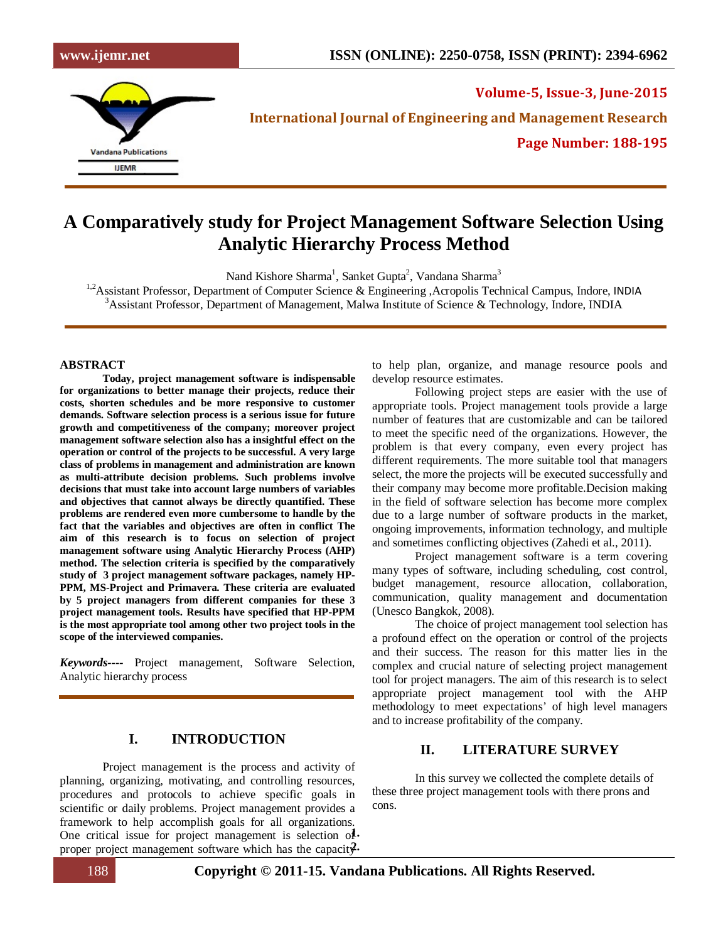

**Volume-5, Issue-3, June-2015 International Journal of Engineering and Management Research Page Number: 188-195**

# **A Comparatively study for Project Management Software Selection Using Analytic Hierarchy Process Method**

Nand Kishore Sharma<sup>1</sup>, Sanket Gupta<sup>2</sup>, Vandana Sharma<sup>3</sup>

<sup>1,2</sup>Assistant Professor, Department of Computer Science & Engineering ,Acropolis Technical Campus, Indore, INDIA <sup>3</sup> Assistant Professor, Department of Management, Malwa Institute of Science & Technology, Indore, INDIA

#### **ABSTRACT**

**Today, project management software is indispensable for organizations to better manage their projects, reduce their costs, shorten schedules and be more responsive to customer demands. Software selection process is a serious issue for future growth and competitiveness of the company; moreover project management software selection also has a insightful effect on the operation or control of the projects to be successful. A very large class of problems in management and administration are known as multi-attribute decision problems. Such problems involve decisions that must take into account large numbers of variables and objectives that cannot always be directly quantified. These problems are rendered even more cumbersome to handle by the fact that the variables and objectives are often in conflict The aim of this research is to focus on selection of project management software using Analytic Hierarchy Process (AHP) method. The selection criteria is specified by the comparatively study of 3 project management software packages, namely HP-PPM, MS-Project and Primavera. These criteria are evaluated by 5 project managers from different companies for these 3 project management tools. Results have specified that HP-PPM is the most appropriate tool among other two project tools in the scope of the interviewed companies.**

*Keywords----* Project management, Software Selection, Analytic hierarchy process

## **I. INTRODUCTION**

Project management is the process and activity of planning, organizing, motivating, and controlling resources, procedures and protocols to achieve specific goals in scientific or daily problems. Project management provides a framework to help accomplish goals for all organizations. One critical issue for project management is selection of proper project management software which has the capacity. to help plan, organize, and manage resource pools and develop resource estimates.

Following project steps are easier with the use of appropriate tools. Project management tools provide a large number of features that are customizable and can be tailored to meet the specific need of the organizations. However, the problem is that every company, even every project has different requirements. The more suitable tool that managers select, the more the projects will be executed successfully and their company may become more profitable.Decision making in the field of software selection has become more complex due to a large number of software products in the market, ongoing improvements, information technology, and multiple and sometimes conflicting objectives (Zahedi et al., 2011).

Project management software is a term covering many types of software, including scheduling, cost control, budget management, resource allocation, collaboration, communication, quality management and documentation (Unesco Bangkok, 2008).

The choice of project management tool selection has a profound effect on the operation or control of the projects and their success. The reason for this matter lies in the complex and crucial nature of selecting project management tool for project managers. The aim of this research is to select appropriate project management tool with the AHP methodology to meet expectations' of high level managers and to increase profitability of the company.

## **II. LITERATURE SURVEY**

In this survey we collected the complete details of these three project management tools with there prons and cons.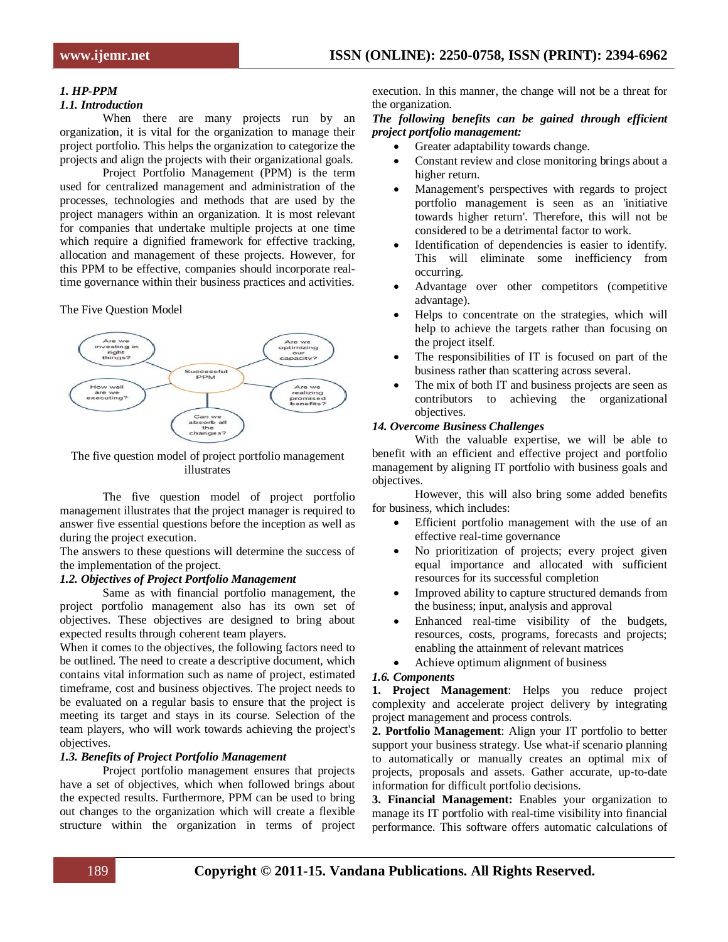## *1. HP-PPM*

## *1.1. Introduction*

When there are many projects run by an organization, it is vital for the organization to manage their project portfolio. This helps the organization to categorize the projects and align the projects with their organizational goals.

Project Portfolio Management (PPM) is the term used for centralized management and administration of the processes, technologies and methods that are used by the project managers within an organization. It is most relevant for companies that undertake multiple projects at one time which require a dignified framework for effective tracking, allocation and management of these projects. However, for this PPM to be effective, companies should incorporate realtime governance within their business practices and activities.

The Five Question Model



The five question model of project portfolio management illustrates

The five question model of project portfolio management illustrates that the project manager is required to answer five essential questions before the inception as well as during the project execution.

The answers to these questions will determine the success of the implementation of the project.

#### *1.2. Objectives of Project Portfolio Management*

Same as with financial portfolio management, the project portfolio management also has its own set of objectives. These objectives are designed to bring about expected results through coherent team players.

When it comes to the objectives, the following factors need to be outlined. The need to create a descriptive document, which contains vital information such as name of project, estimated timeframe, cost and business objectives. The project needs to be evaluated on a regular basis to ensure that the project is meeting its target and stays in its course. Selection of the team players, who will work towards achieving the project's objectives.

#### *1.3. Benefits of Project Portfolio Management*

Project portfolio management ensures that projects have a set of objectives, which when followed brings about the expected results. Furthermore, PPM can be used to bring out changes to the organization which will create a flexible structure within the organization in terms of project execution. In this manner, the change will not be a threat for the organization.

## *The following benefits can be gained through efficient project portfolio management:*

- Greater adaptability towards change.
- Constant review and close monitoring brings about a higher return.
- Management's perspectives with regards to project portfolio management is seen as an 'initiative towards higher return'. Therefore, this will not be considered to be a detrimental factor to work.
- Identification of dependencies is easier to identify. This will eliminate some inefficiency from occurring.
- Advantage over other competitors (competitive advantage).
- Helps to concentrate on the strategies, which will help to achieve the targets rather than focusing on the project itself.
- The responsibilities of IT is focused on part of the business rather than scattering across several.
- The mix of both IT and business projects are seen as contributors to achieving the organizational objectives.

#### *14. Overcome Business Challenges*

With the valuable expertise, we will be able to benefit with an efficient and effective project and portfolio management by aligning IT portfolio with business goals and objectives.

However, this will also bring some added benefits for business, which includes:

- Efficient portfolio management with the use of an effective real-time governance
- No prioritization of projects; every project given equal importance and allocated with sufficient resources for its successful completion
- Improved ability to capture structured demands from the business; input, analysis and approval
- Enhanced real-time visibility of the budgets, resources, costs, programs, forecasts and projects; enabling the attainment of relevant matrices
- Achieve optimum alignment of business

#### *1.6. Components*

**1. Project Management**: Helps you reduce project complexity and accelerate project delivery by integrating project management and process controls.

**2. Portfolio Management**: Align your IT portfolio to better support your business strategy. Use what-if scenario planning to automatically or manually creates an optimal mix of projects, proposals and assets. Gather accurate, up-to-date information for difficult portfolio decisions.

**3. Financial Management:** Enables your organization to manage its IT portfolio with real-time visibility into financial performance. This software offers automatic calculations of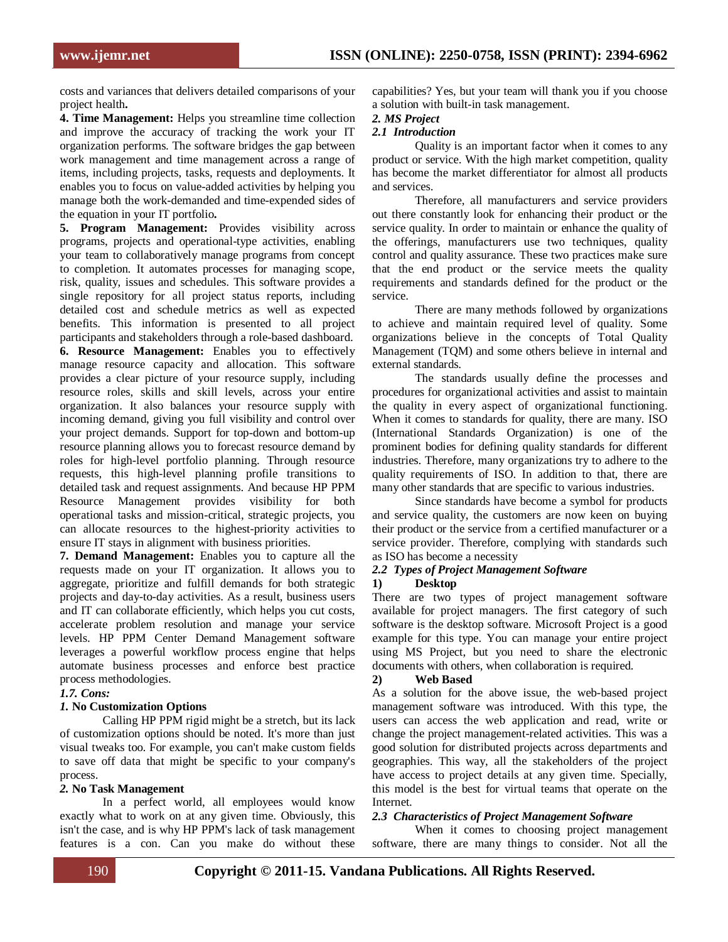costs and variances that delivers detailed comparisons of your project health**.**

**4. Time Management:** Helps you streamline time collection and improve the accuracy of tracking the work your IT organization performs. The software bridges the gap between work management and time management across a range of items, including projects, tasks, requests and deployments. It enables you to focus on value-added activities by helping you manage both the work-demanded and time-expended sides of the equation in your IT portfolio**.**

**5. Program Management:** Provides visibility across programs, projects and operational-type activities, enabling your team to collaboratively manage programs from concept to completion. It automates processes for managing scope, risk, quality, issues and schedules. This software provides a single repository for all project status reports, including detailed cost and schedule metrics as well as expected benefits. This information is presented to all project participants and stakeholders through a role-based dashboard. **6. Resource Management:** Enables you to effectively manage resource capacity and allocation. This software provides a clear picture of your resource supply, including resource roles, skills and skill levels, across your entire organization. It also balances your resource supply with incoming demand, giving you full visibility and control over your project demands. Support for top-down and bottom-up resource planning allows you to forecast resource demand by roles for high-level portfolio planning. Through resource requests, this high-level planning profile transitions to detailed task and request assignments. And because HP PPM Resource Management provides visibility for both operational tasks and mission-critical, strategic projects, you can allocate resources to the highest-priority activities to ensure IT stays in alignment with business priorities.

**7. Demand Management:** Enables you to capture all the requests made on your IT organization. It allows you to aggregate, prioritize and fulfill demands for both strategic projects and day-to-day activities. As a result, business users and IT can collaborate efficiently, which helps you cut costs, accelerate problem resolution and manage your service levels. HP PPM Center Demand Management software leverages a powerful workflow process engine that helps automate business processes and enforce best practice process methodologies.

#### *1.7. Cons:*

#### *1.* **No Customization Options**

Calling HP PPM rigid might be a stretch, but its lack of customization options should be noted. It's more than just visual tweaks too. For example, you can't make custom fields to save off data that might be specific to your company's process.

#### *2.* **No Task Management**

In a perfect world, all employees would know exactly what to work on at any given time. Obviously, this isn't the case, and is why HP PPM's lack of task management features is a con. Can you make do without these capabilities? Yes, but your team will thank you if you choose a solution with built-in task management.

## *2. MS Project*

## *2.1 Introduction*

Quality is an important factor when it comes to any product or service. With the high market competition, quality has become the market differentiator for almost all products and services.

Therefore, all manufacturers and service providers out there constantly look for enhancing their product or the service quality. In order to maintain or enhance the quality of the offerings, manufacturers use two techniques, quality control and quality assurance. These two practices make sure that the end product or the service meets the quality requirements and standards defined for the product or the service.

There are many methods followed by organizations to achieve and maintain required level of quality. Some organizations believe in the concepts of Total Quality Management (TQM) and some others believe in internal and external standards.

The standards usually define the processes and procedures for organizational activities and assist to maintain the quality in every aspect of organizational functioning. When it comes to standards for quality, there are many. ISO (International Standards Organization) is one of the prominent bodies for defining quality standards for different industries. Therefore, many organizations try to adhere to the quality requirements of ISO. In addition to that, there are many other standards that are specific to various industries.

Since standards have become a symbol for products and service quality, the customers are now keen on buying their product or the service from a certified manufacturer or a service provider. Therefore, complying with standards such as ISO has become a necessity

## *2.2 Types of Project Management Software*

#### **1) Desktop**

There are two types of project management software available for project managers. The first category of such software is the desktop software. Microsoft Project is a good example for this type. You can manage your entire project using MS Project, but you need to share the electronic documents with others, when collaboration is required.

#### **2) Web Based**

As a solution for the above issue, the web-based project management software was introduced. With this type, the users can access the web application and read, write or change the project management-related activities. This was a good solution for distributed projects across departments and geographies. This way, all the stakeholders of the project have access to project details at any given time. Specially, this model is the best for virtual teams that operate on the Internet.

#### *2.3 Characteristics of Project Management Software*

When it comes to choosing project management software, there are many things to consider. Not all the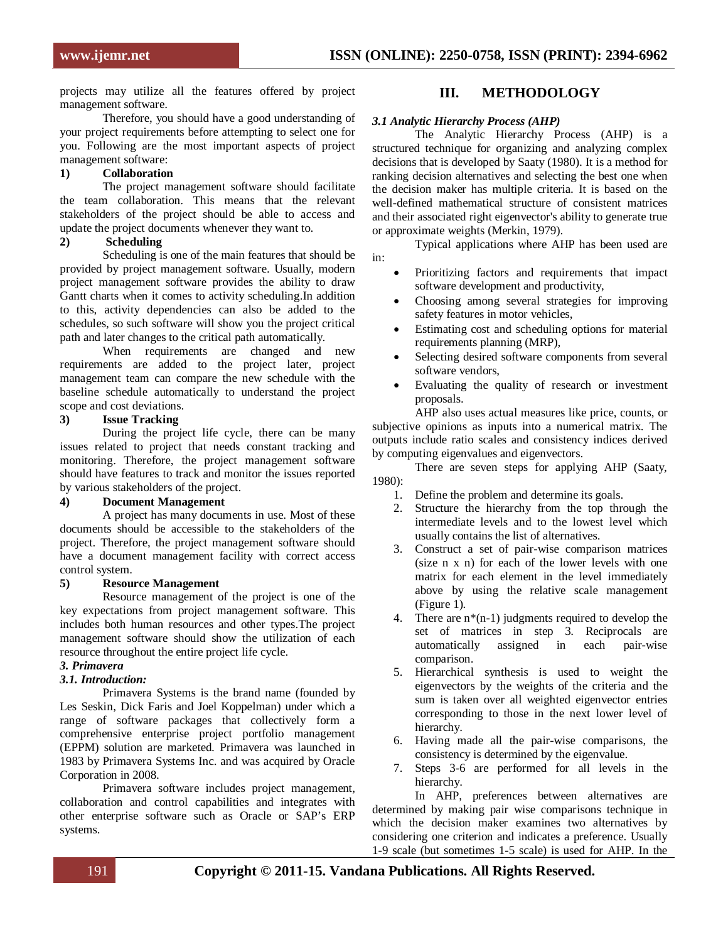projects may utilize all the features offered by project management software.

Therefore, you should have a good understanding of your project requirements before attempting to select one for you. Following are the most important aspects of project management software:

## **1) Collaboration**

The project management software should facilitate the team collaboration. This means that the relevant stakeholders of the project should be able to access and update the project documents whenever they want to.

#### **2) Scheduling**

Scheduling is one of the main features that should be provided by project management software. Usually, modern project management software provides the ability to draw Gantt charts when it comes to activity scheduling.In addition to this, activity dependencies can also be added to the schedules, so such software will show you the project critical path and later changes to the critical path automatically.

When requirements are changed and new requirements are added to the project later, project management team can compare the new schedule with the baseline schedule automatically to understand the project scope and cost deviations.

#### **3) Issue Tracking**

During the project life cycle, there can be many issues related to project that needs constant tracking and monitoring. Therefore, the project management software should have features to track and monitor the issues reported by various stakeholders of the project.

## **4) Document Management**

A project has many documents in use. Most of these documents should be accessible to the stakeholders of the project. Therefore, the project management software should have a document management facility with correct access control system.

#### **5) Resource Management**

Resource management of the project is one of the key expectations from project management software. This includes both human resources and other types.The project management software should show the utilization of each resource throughout the entire project life cycle.

## *3. Primavera*

## *3.1. Introduction:*

[Primavera Systems](http://en.wikipedia.org/wiki/Primavera_Systems) is the brand name (founded by Les Seskin, Dick Faris and Joel Koppelman) under which a range of software packages that collectively form a comprehensive enterprise [project portfolio management](http://en.wikipedia.org/wiki/Project_portfolio_management) (EPPM) [solution](http://en.wikipedia.org/wiki/Solution) are marketed. Primavera was launched in 1983 by Primavera Systems Inc. and was acquired by [Oracle](http://en.wikipedia.org/wiki/Oracle_Corporation)  [Corporation](http://en.wikipedia.org/wiki/Oracle_Corporation) in 2008.

Primavera software includes project management, collaboration and control capabilities and integrates with other enterprise software such as [Oracle](http://en.wikipedia.org/wiki/Oracle_Corporation) or [SAP's](http://en.wikipedia.org/wiki/SAP_ERP) [ERP](http://en.wikipedia.org/wiki/Enterprise_resource_planning) systems.

## **III. METHODOLOGY**

## *3.1 Analytic Hierarchy Process (AHP)*

The Analytic Hierarchy Process (AHP) is a structured technique for organizing and analyzing complex decisions that is developed by Saaty (1980). It is a method for ranking decision alternatives and selecting the best one when the decision maker has multiple criteria. It is based on the well-defined mathematical structure of consistent matrices and their associated right eigenvector's ability to generate true or approximate weights (Merkin, 1979).

Typical applications where AHP has been used are in:

- Prioritizing factors and requirements that impact software development and productivity,
- Choosing among several strategies for improving safety features in motor vehicles,
- Estimating cost and scheduling options for material requirements planning (MRP),
- Selecting desired software components from several software vendors,
- Evaluating the quality of research or investment proposals.

AHP also uses actual measures like price, counts, or subjective opinions as inputs into a numerical matrix. The outputs include ratio scales and consistency indices derived by computing eigenvalues and eigenvectors.

There are seven steps for applying AHP (Saaty, 1980):

- 1. Define the problem and determine its goals.
- 2. Structure the hierarchy from the top through the intermediate levels and to the lowest level which usually contains the list of alternatives.
- 3. Construct a set of pair-wise comparison matrices (size n x n) for each of the lower levels with one matrix for each element in the level immediately above by using the relative scale management (Figure 1).
- 4. There are  $n*(n-1)$  judgments required to develop the set of matrices in step 3. Reciprocals are automatically assigned in each pair-wise comparison.
- 5. Hierarchical synthesis is used to weight the eigenvectors by the weights of the criteria and the sum is taken over all weighted eigenvector entries corresponding to those in the next lower level of hierarchy.
- 6. Having made all the pair-wise comparisons, the consistency is determined by the eigenvalue.
- 7. Steps 3-6 are performed for all levels in the hierarchy.

In AHP, preferences between alternatives are determined by making pair wise comparisons technique in which the decision maker examines two alternatives by considering one criterion and indicates a preference. Usually 1-9 scale (but sometimes 1-5 scale) is used for AHP. In the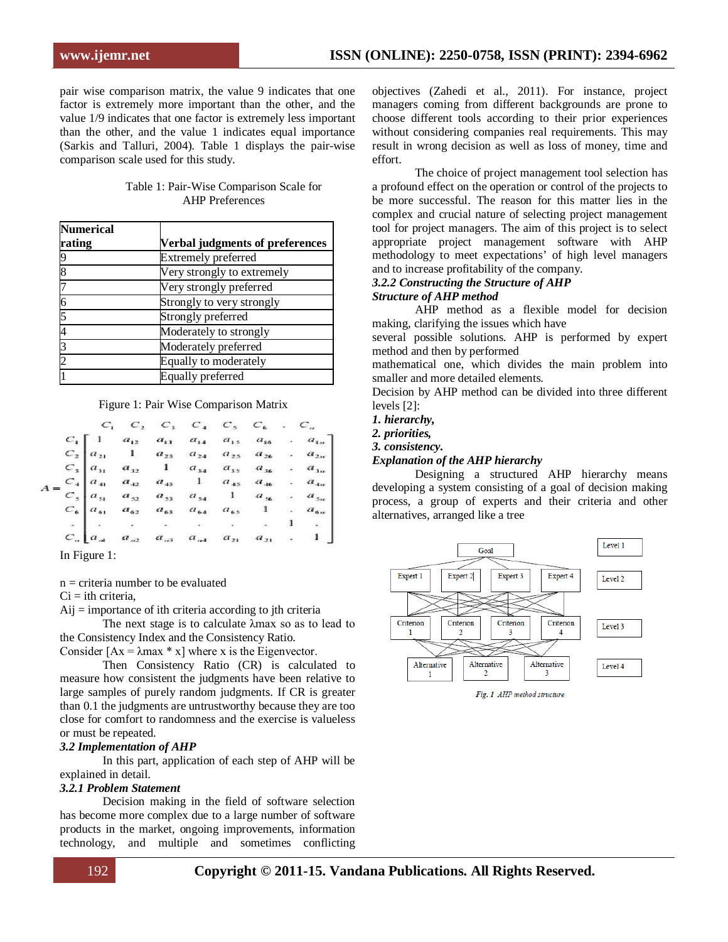pair wise comparison matrix, the value 9 indicates that one factor is extremely more important than the other, and the value 1/9 indicates that one factor is extremely less important than the other, and the value 1 indicates equal importance (Sarkis and Talluri, 2004). Table 1 displays the pair-wise comparison scale used for this study.

| Table 1: Pair-Wise Comparison Scale for |  |
|-----------------------------------------|--|
| <b>AHP</b> Preferences                  |  |

| <b>Numerical</b> |                                        |  |  |  |  |  |
|------------------|----------------------------------------|--|--|--|--|--|
| rating           | <b>Verbal judgments of preferences</b> |  |  |  |  |  |
|                  | <b>Extremely preferred</b>             |  |  |  |  |  |
|                  | Very strongly to extremely             |  |  |  |  |  |
|                  | Very strongly preferred                |  |  |  |  |  |
|                  | Strongly to very strongly              |  |  |  |  |  |
|                  | Strongly preferred                     |  |  |  |  |  |
|                  | Moderately to strongly                 |  |  |  |  |  |
|                  | Moderately preferred                   |  |  |  |  |  |
|                  | Equally to moderately                  |  |  |  |  |  |
|                  | <b>Equally preferred</b>               |  |  |  |  |  |

#### Figure 1: Pair Wise Comparison Matrix

|                                                                                                                                                                                                                                                             |  |       |  |  |  | $C_1$ $C_2$ $C_3$ $C_4$ $C_5$ $C_6$ $C_n$ |
|-------------------------------------------------------------------------------------------------------------------------------------------------------------------------------------------------------------------------------------------------------------|--|-------|--|--|--|-------------------------------------------|
| $C_1$ $C_2$ $a_{11}$ $a_{12}$ $a_{13}$ $a_{14}$ $a_{15}$ $a_{16}$ $a_{19}$<br>$C_2$ $a_{21}$ 1 $a_{23}$ $a_{24}$ $a_{25}$ $a_{26}$ $a_{27}$<br>$C_3$ $a_{31}$ $a_{32}$ 1 $a_{34}$ $a_{35}$ $a_{36}$ $a_{37}$<br>$C_4$ $a_{41}$ $a_{42}$ $a_{43}$ 1 $a_{45}$ |  |       |  |  |  |                                           |
|                                                                                                                                                                                                                                                             |  |       |  |  |  |                                           |
|                                                                                                                                                                                                                                                             |  |       |  |  |  |                                           |
|                                                                                                                                                                                                                                                             |  |       |  |  |  |                                           |
|                                                                                                                                                                                                                                                             |  |       |  |  |  |                                           |
|                                                                                                                                                                                                                                                             |  |       |  |  |  |                                           |
|                                                                                                                                                                                                                                                             |  |       |  |  |  |                                           |
|                                                                                                                                                                                                                                                             |  |       |  |  |  |                                           |
|                                                                                                                                                                                                                                                             |  | T T 1 |  |  |  |                                           |

In Figure 1:

n = criteria number to be evaluated

 $Ci = ith$  criteria,

 $Aij =$  importance of ith criteria according to jth criteria

The next stage is to calculate λmax so as to lead to the Consistency Index and the Consistency Ratio.

Consider  $[Ax = \lambda max * x]$  where x is the Eigenvector.

Then Consistency Ratio (CR) is calculated to measure how consistent the judgments have been relative to large samples of purely random judgments. If CR is greater than 0.1 the judgments are untrustworthy because they are too close for comfort to randomness and the exercise is valueless or must be repeated.

#### *3.2 Implementation of AHP*

In this part, application of each step of AHP will be explained in detail.

#### *3.2.1 Problem Statement*

Decision making in the field of software selection has become more complex due to a large number of software products in the market, ongoing improvements, information technology, and multiple and sometimes conflicting

objectives (Zahedi et al., 2011). For instance, project managers coming from different backgrounds are prone to choose different tools according to their prior experiences without considering companies real requirements. This may result in wrong decision as well as loss of money, time and effort.

The choice of project management tool selection has a profound effect on the operation or control of the projects to be more successful. The reason for this matter lies in the complex and crucial nature of selecting project management tool for project managers. The aim of this project is to select appropriate project management software with AHP methodology to meet expectations' of high level managers and to increase profitability of the company.

#### *3.2.2 Constructing the Structure of AHP Structure of AHP method*

AHP method as a flexible model for decision making, clarifying the issues which have

several possible solutions. AHP is performed by expert method and then by performed

mathematical one, which divides the main problem into smaller and more detailed elements.

Decision by AHP method can be divided into three different levels [2]:

*1. hierarchy,*

*2. priorities,*

*3. consistency.*

#### *Explanation of the AHP hierarchy*

Designing a structured AHP hierarchy means developing a system consisting of a goal of decision making process, a group of experts and their criteria and other alternatives, arranged like a tree



Fig. 1 AHP method structure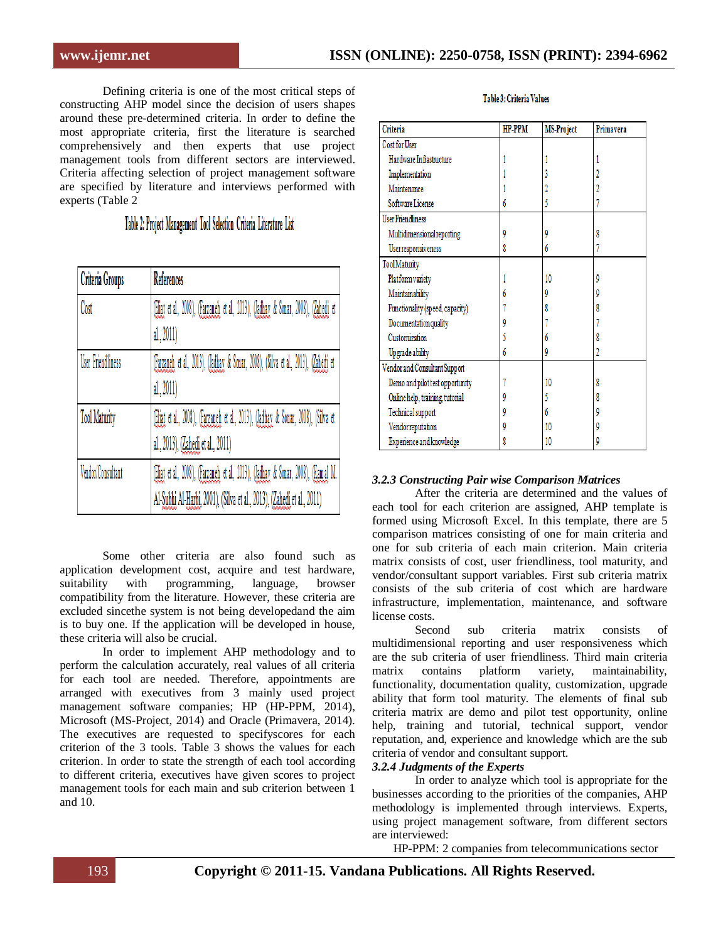Defining criteria is one of the most critical steps of constructing AHP model since the decision of users shapes around these pre-determined criteria. In order to define the most appropriate criteria, first the literature is searched comprehensively and then experts that use project management tools from different sectors are interviewed. Criteria affecting selection of project management software are specified by literature and interviews performed with experts (Table 2

Table 2: Project Management Tool Selection Criteria Literature List

| Criteria Groups          | <b>References</b>                                                                 |
|--------------------------|-----------------------------------------------------------------------------------|
| Cost                     | (Eliat et al., 2008), (Farzaneh et al., 2013), (Jadhay & Sonar, 2008), (Zahedi et |
|                          | al., 2011)                                                                        |
| <b>User Friendliness</b> | (Farzaneh et al., 2013), (Jadhay & Sonar, 2008), (Silva et al., 2013), (Zahedi et |
|                          | al., 2011)                                                                        |
| <b>Tool Maturity</b>     | (Eliat et al., 2008), (Farzaneh et al., 2013), (Jadhay & Sonar, 2008), (Silva et  |
|                          | al., 2013), (Zahedi et al., 2011)                                                 |
| Vendor/Consultant        | (Eliat et al., 2008), (Farzaneh et al., 2013), (Jadhay & Sonar, 2008), (Kamal M.  |
|                          | Al-Subhi Al-Harbi, 2001), (Silva et al., 2013), (Zahedi et al., 2011)             |

Some other criteria are also found such as application development cost, acquire and test hardware, suitability with programming, language, browser compatibility from the literature. However, these criteria are excluded sincethe system is not being developedand the aim is to buy one. If the application will be developed in house, these criteria will also be crucial.

In order to implement AHP methodology and to perform the calculation accurately, real values of all criteria for each tool are needed. Therefore, appointments are arranged with executives from 3 mainly used project management software companies; HP (HP-PPM, 2014), Microsoft (MS-Project, 2014) and Oracle (Primavera, 2014). The executives are requested to specifyscores for each criterion of the 3 tools. Table 3 shows the values for each criterion. In order to state the strength of each tool according to different criteria, executives have given scores to project management tools for each main and sub criterion between 1 and 10.

## Table 3: Criteria Values

| Criteria                        | HP-PPM | <b>MS-Project</b> | Primavera |
|---------------------------------|--------|-------------------|-----------|
| Cost for User                   |        |                   |           |
| Hardware Infrastructure         |        |                   |           |
| Implementation                  |        |                   |           |
| Maintenance                     |        |                   |           |
| Software License                |        |                   |           |
| <b>User Friendliness</b>        |        |                   |           |
| Multidimensional reporting      | 9      | 9                 | 8         |
| Userresponsiveness              | 8      | 6                 |           |
| <b>Tool</b> Maturity            |        |                   |           |
| Platform variety                |        | 10                | 9         |
| Maintainability                 |        | 9                 | 9         |
| Functionality (speed, capacity) |        |                   |           |
| Documentation quality           |        |                   |           |
| Customization                   |        | 6                 |           |
| Upgrade ability                 | 6      | 9                 |           |
| Vendor and Consultant Support   |        |                   |           |
| Demo and pilot test opportunity |        | 10                | 8         |
| Online help, training, tutorial |        |                   |           |
| Technical support               |        | 6                 | 9         |
| Vendorreputation                |        | 10                | g         |
| Experience and knowledge        |        | 10                |           |

## *3.2.3 Constructing Pair wise Comparison Matrices*

After the criteria are determined and the values of each tool for each criterion are assigned, AHP template is formed using Microsoft Excel. In this template, there are 5 comparison matrices consisting of one for main criteria and one for sub criteria of each main criterion. Main criteria matrix consists of cost, user friendliness, tool maturity, and vendor/consultant support variables. First sub criteria matrix consists of the sub criteria of cost which are hardware infrastructure, implementation, maintenance, and software license costs.

Second sub criteria matrix consists of multidimensional reporting and user responsiveness which are the sub criteria of user friendliness. Third main criteria matrix contains platform variety, maintainability, functionality, documentation quality, customization, upgrade ability that form tool maturity. The elements of final sub criteria matrix are demo and pilot test opportunity, online help, training and tutorial, technical support, vendor reputation, and, experience and knowledge which are the sub criteria of vendor and consultant support.

## *3.2.4 Judgments of the Experts*

In order to analyze which tool is appropriate for the businesses according to the priorities of the companies, AHP methodology is implemented through interviews. Experts, using project management software, from different sectors are interviewed:

HP-PPM: 2 companies from telecommunications sector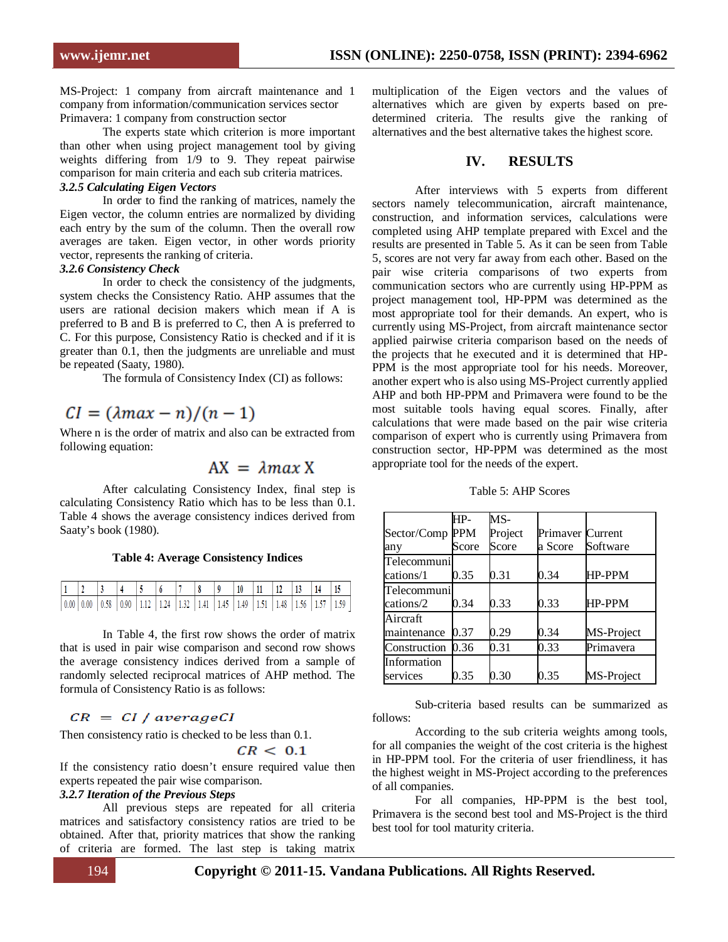MS-Project: 1 company from aircraft maintenance and 1 company from information/communication services sector Primavera: 1 company from construction sector

The experts state which criterion is more important than other when using project management tool by giving weights differing from 1/9 to 9. They repeat pairwise comparison for main criteria and each sub criteria matrices.

## *3.2.5 Calculating Eigen Vectors*

In order to find the ranking of matrices, namely the Eigen vector, the column entries are normalized by dividing each entry by the sum of the column. Then the overall row averages are taken. Eigen vector, in other words priority vector, represents the ranking of criteria.

## *3.2.6 Consistency Check*

In order to check the consistency of the judgments, system checks the Consistency Ratio. AHP assumes that the users are rational decision makers which mean if A is preferred to B and B is preferred to C, then A is preferred to C. For this purpose, Consistency Ratio is checked and if it is greater than 0.1, then the judgments are unreliable and must be repeated (Saaty, 1980).

The formula of Consistency Index (CI) as follows:

# $CI = (\lambda max - n)/(n - 1)$

Where n is the order of matrix and also can be extracted from following equation:

## $AX = \lambda max X$

 After calculating Consistency Index, final step is calculating Consistency Ratio which has to be less than 0.1. Table 4 shows the average consistency indices derived from Saaty's book (1980).

#### **Table 4: Average Consistency Indices**

|  |                                                                                                                                                                                                                                                                                                                                                               |  |  |  | $10$ 11 12 13 14 |  |  |  |
|--|---------------------------------------------------------------------------------------------------------------------------------------------------------------------------------------------------------------------------------------------------------------------------------------------------------------------------------------------------------------|--|--|--|------------------|--|--|--|
|  | $\vert 0.00 \vert 0.00 \vert 0.58 \vert 0.90 \vert 1.12 \vert 1.24 \vert 1.32 \vert 1.41 \vert 1.45 \vert 1.49 \vert 1.51 \vert 1.48 \vert 1.56 \vert 1.57 \vert 1.59 \vert 1.59 \vert 1.50 \vert 1.51 \vert 1.53 \vert 1.55 \vert 1.59 \vert 1.50 \vert 1.51 \vert 1.50 \vert 1.51 \vert 1.53 \vert 1.55 \vert 1.59 \vert 1.50 \vert 1.51 \vert 1.53 \vert $ |  |  |  |                  |  |  |  |

In Table 4, the first row shows the order of matrix that is used in pair wise comparison and second row shows the average consistency indices derived from a sample of randomly selected reciprocal matrices of AHP method. The formula of Consistency Ratio is as follows:

## $CR = CI / averageCI$

Then consistency ratio is checked to be less than 0.1.

#### $CR < 0.1$

If the consistency ratio doesn't ensure required value then experts repeated the pair wise comparison.

#### *3.2.7 Iteration of the Previous Steps*

All previous steps are repeated for all criteria matrices and satisfactory consistency ratios are tried to be obtained. After that, priority matrices that show the ranking of criteria are formed. The last step is taking matrix

multiplication of the Eigen vectors and the values of alternatives which are given by experts based on predetermined criteria. The results give the ranking of alternatives and the best alternative takes the highest score.

#### **IV. RESULTS**

After interviews with 5 experts from different sectors namely telecommunication, aircraft maintenance, construction, and information services, calculations were completed using AHP template prepared with Excel and the results are presented in Table 5. As it can be seen from Table 5, scores are not very far away from each other. Based on the pair wise criteria comparisons of two experts from communication sectors who are currently using HP-PPM as project management tool, HP-PPM was determined as the most appropriate tool for their demands. An expert, who is currently using MS-Project, from aircraft maintenance sector applied pairwise criteria comparison based on the needs of the projects that he executed and it is determined that HP-PPM is the most appropriate tool for his needs. Moreover, another expert who is also using MS-Project currently applied AHP and both HP-PPM and Primavera were found to be the most suitable tools having equal scores. Finally, after calculations that were made based on the pair wise criteria comparison of expert who is currently using Primavera from construction sector, HP-PPM was determined as the most appropriate tool for the needs of the expert.

Table 5: AHP Scores

|              | HP-        | $MS-$   |                  |            |
|--------------|------------|---------|------------------|------------|
| Sector/Comp  | <b>PPM</b> | Project | Primaver Current |            |
| any          | Score      | Score   | a Score          | Software   |
| Telecommuni  |            |         |                  |            |
| cations/1    | 0.35       | 0.31    | 0.34             | HP-PPM     |
| Telecommuni  |            |         |                  |            |
| cations/2    | 0.34       | 0.33    | 0.33             | HP-PPM     |
| Aircraft     |            |         |                  |            |
| maintenance  | 0.37       | 0.29    | 0.34             | MS-Project |
| Construction | 0.36       | 0.31    | 0.33             | Primavera  |
| Information  |            |         |                  |            |
| services     | 0.35       | 0.30    | 0.35             | MS-Project |

Sub-criteria based results can be summarized as follows:

According to the sub criteria weights among tools, for all companies the weight of the cost criteria is the highest in HP-PPM tool. For the criteria of user friendliness, it has the highest weight in MS-Project according to the preferences of all companies.

For all companies, HP-PPM is the best tool, Primavera is the second best tool and MS-Project is the third best tool for tool maturity criteria.